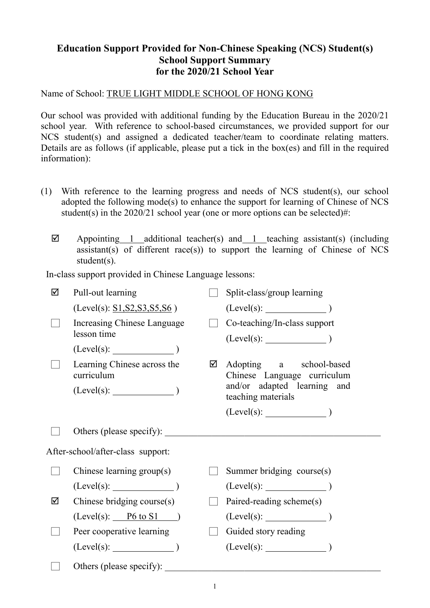## **Education Support Provided for Non-Chinese Speaking (NCS) Student(s) School Support Summary for the 2020/21 School Year**

Name of School: TRUE LIGHT MIDDLE SCHOOL OF HONG KONG

Our school was provided with additional funding by the Education Bureau in the 2020/21 school year. With reference to school-based circumstances, we provided support for our NCS student(s) and assigned a dedicated teacher/team to coordinate relating matters. Details are as follows (if applicable, please put a tick in the box(es) and fill in the required information):

- (1) With reference to the learning progress and needs of NCS student(s), our school adopted the following mode(s) to enhance the support for learning of Chinese of NCS student(s) in the  $2020/21$  school year (one or more options can be selected)#:
	- $\boxtimes$  Appointing 1 additional teacher(s) and 1 teaching assistant(s) (including  $\alpha$ ssistant(s) of different race(s)) to support the learning of Chinese of NCS student(s).

In-class support provided in Chinese Language lessons:

| ☑ | Pull-out learning                          |   | Split-class/group learning                             |  |  |  |
|---|--------------------------------------------|---|--------------------------------------------------------|--|--|--|
|   | (Level(s): S1, S2, S3, S5, S6)             |   |                                                        |  |  |  |
|   | Increasing Chinese Language<br>lesson time |   | Co-teaching/In-class support                           |  |  |  |
|   | $(Level(s):$ $)$                           |   |                                                        |  |  |  |
|   | Learning Chinese across the<br>curriculum  | ☑ | Adopting a school-based<br>Chinese Language curriculum |  |  |  |
|   | $(Level(s):$ $)$                           |   | and/or adapted learning and<br>teaching materials      |  |  |  |
|   |                                            |   | $(Level(s):$ (Level(s):                                |  |  |  |
|   | Others (please specify):                   |   |                                                        |  |  |  |
|   | After-school/after-class support:          |   |                                                        |  |  |  |
|   | Chinese learning group(s)                  |   | Summer bridging course(s)                              |  |  |  |
|   | (Level(s):                                 |   | $(Level(s):$ (Level(s):                                |  |  |  |
| ☑ | Chinese bridging course(s)                 |   | Paired-reading scheme(s)                               |  |  |  |
|   | $(Level(s):$ P6 to S1)                     |   |                                                        |  |  |  |
|   | Peer cooperative learning                  |   | Guided story reading                                   |  |  |  |
|   | $(Level(s):$ (Level(s):                    |   |                                                        |  |  |  |
|   | Others (please specify):                   |   |                                                        |  |  |  |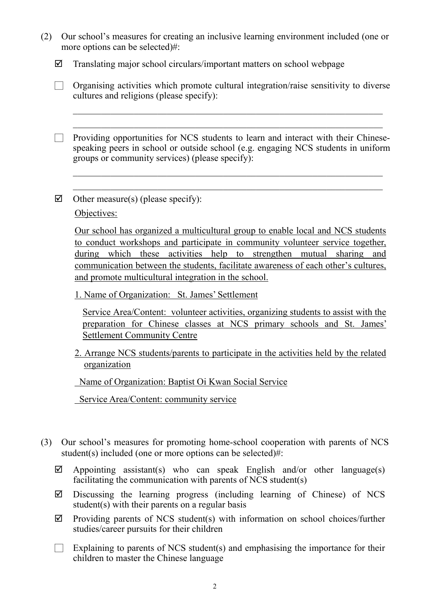| (2) Our school's measures for creating an inclusive learning environment included (one or |
|-------------------------------------------------------------------------------------------|
| more options can be selected)#:                                                           |

 $\boxtimes$  Translating major school circulars/important matters on school webpage

|                                          |  |  | $\Box$ Organising activities which promote cultural integration/raise sensitivity to diverse |  |
|------------------------------------------|--|--|----------------------------------------------------------------------------------------------|--|
| cultures and religions (please specify): |  |  |                                                                                              |  |

\_\_\_\_\_\_\_\_\_\_\_\_\_\_\_\_\_\_\_\_\_\_\_\_\_\_\_\_\_\_\_\_\_\_\_\_\_\_\_\_\_\_\_\_\_\_\_\_\_\_\_\_\_\_\_\_\_\_\_\_\_\_\_\_\_\_  $\_$  , and the set of the set of the set of the set of the set of the set of the set of the set of the set of the set of the set of the set of the set of the set of the set of the set of the set of the set of the set of th

□ Providing opportunities for NCS students to learn and interact with their Chinesespeaking peers in school or outside school (e.g. engaging NCS students in uniform groups or community services) (please specify):

 $\_$  , and the set of the set of the set of the set of the set of the set of the set of the set of the set of the set of the set of the set of the set of the set of the set of the set of the set of the set of the set of th \_\_\_\_\_\_\_\_\_\_\_\_\_\_\_\_\_\_\_\_\_\_\_\_\_\_\_\_\_\_\_\_\_\_\_\_\_\_\_\_\_\_\_\_\_\_\_\_\_\_\_\_\_\_\_\_\_\_\_\_\_\_\_\_\_\_

 $\triangledown$  Other measure(s) (please specify):

Objectives:

Our school has organized a multicultural group to enable local and NCS students to conduct workshops and participate in community volunteer service together, during which these activities help to strengthen mutual sharing and communication between the students, facilitate awareness of each other's cultures, and promote multicultural integration in the school.

1. Name of Organization: St. James' Settlement

Service Area/Content: volunteer activities, organizing students to assist with the preparation for Chinese classes at NCS primary schools and St. James' Settlement Community Centre

2. Arrange NCS students/parents to participate in the activities held by the related organization

Name of Organization: Baptist Oi Kwan Social Service

Service Area/Content: community service

- (3) Our school's measures for promoting home-school cooperation with parents of NCS student(s) included (one or more options can be selected)#:
	- $\boxtimes$  Appointing assistant(s) who can speak English and/or other language(s) facilitating the communication with parents of NCS student(s)
	- $\boxtimes$  Discussing the learning progress (including learning of Chinese) of NCS student(s) with their parents on a regular basis
	- $\boxtimes$  Providing parents of NCS student(s) with information on school choices/further studies/career pursuits for their children
	- $\Box$  Explaining to parents of NCS student(s) and emphasising the importance for their children to master the Chinese language